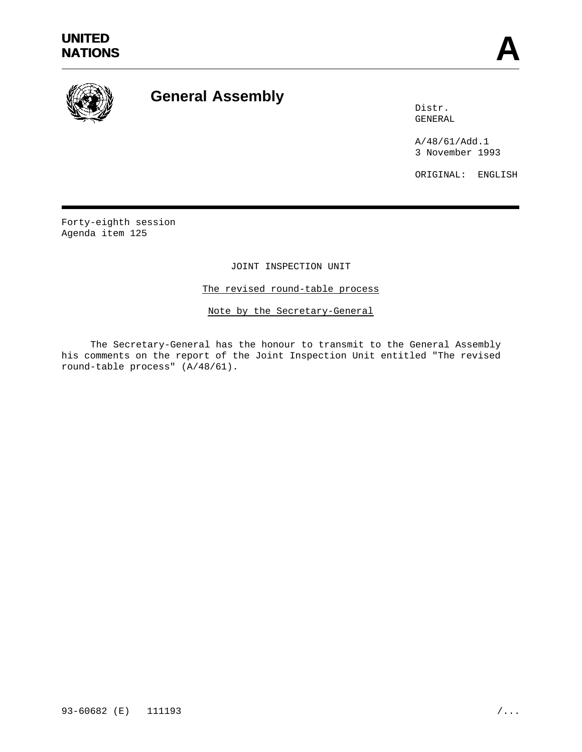

# **General Assembly**

Distr. GENERAL

A/48/61/Add.1 3 November 1993

ORIGINAL: ENGLISH

Forty-eighth session Agenda item 125

JOINT INSPECTION UNIT

The revised round-table process

Note by the Secretary-General

The Secretary-General has the honour to transmit to the General Assembly his comments on the report of the Joint Inspection Unit entitled "The revised round-table process" (A/48/61).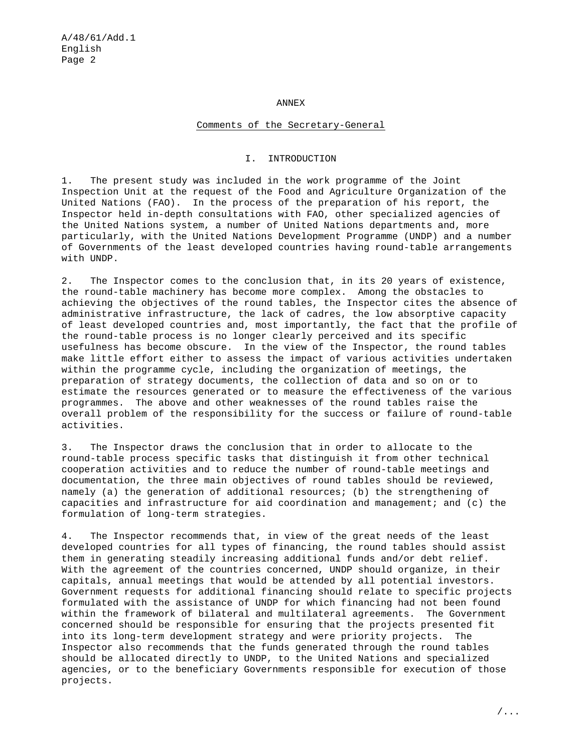#### ANNEX

## Comments of the Secretary-General

### I. INTRODUCTION

1. The present study was included in the work programme of the Joint Inspection Unit at the request of the Food and Agriculture Organization of the United Nations (FAO). In the process of the preparation of his report, the Inspector held in-depth consultations with FAO, other specialized agencies of the United Nations system, a number of United Nations departments and, more particularly, with the United Nations Development Programme (UNDP) and a number of Governments of the least developed countries having round-table arrangements with UNDP.

2. The Inspector comes to the conclusion that, in its 20 years of existence, the round-table machinery has become more complex. Among the obstacles to achieving the objectives of the round tables, the Inspector cites the absence of administrative infrastructure, the lack of cadres, the low absorptive capacity of least developed countries and, most importantly, the fact that the profile of the round-table process is no longer clearly perceived and its specific usefulness has become obscure. In the view of the Inspector, the round tables make little effort either to assess the impact of various activities undertaken within the programme cycle, including the organization of meetings, the preparation of strategy documents, the collection of data and so on or to estimate the resources generated or to measure the effectiveness of the various programmes. The above and other weaknesses of the round tables raise the overall problem of the responsibility for the success or failure of round-table activities.

3. The Inspector draws the conclusion that in order to allocate to the round-table process specific tasks that distinguish it from other technical cooperation activities and to reduce the number of round-table meetings and documentation, the three main objectives of round tables should be reviewed, namely (a) the generation of additional resources; (b) the strengthening of capacities and infrastructure for aid coordination and management; and (c) the formulation of long-term strategies.

4. The Inspector recommends that, in view of the great needs of the least developed countries for all types of financing, the round tables should assist them in generating steadily increasing additional funds and/or debt relief. With the agreement of the countries concerned, UNDP should organize, in their capitals, annual meetings that would be attended by all potential investors. Government requests for additional financing should relate to specific projects formulated with the assistance of UNDP for which financing had not been found within the framework of bilateral and multilateral agreements. The Government concerned should be responsible for ensuring that the projects presented fit into its long-term development strategy and were priority projects. The Inspector also recommends that the funds generated through the round tables should be allocated directly to UNDP, to the United Nations and specialized agencies, or to the beneficiary Governments responsible for execution of those projects.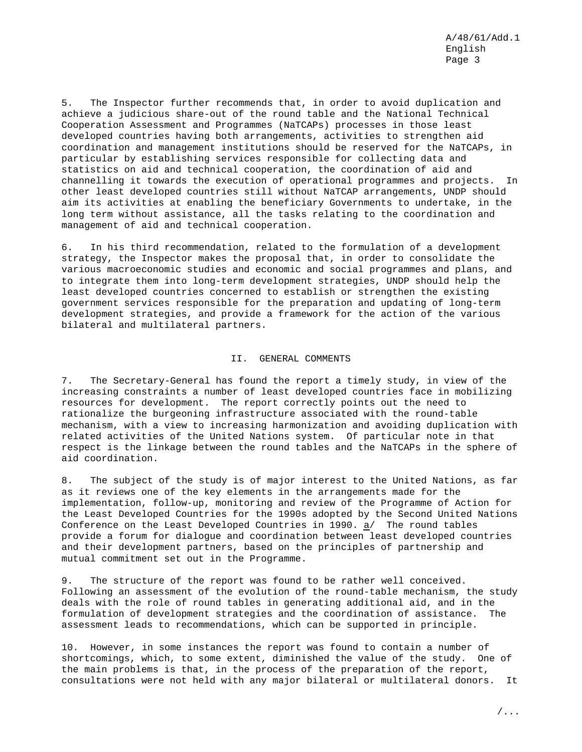5. The Inspector further recommends that, in order to avoid duplication and achieve a judicious share-out of the round table and the National Technical Cooperation Assessment and Programmes (NaTCAPs) processes in those least developed countries having both arrangements, activities to strengthen aid coordination and management institutions should be reserved for the NaTCAPs, in particular by establishing services responsible for collecting data and statistics on aid and technical cooperation, the coordination of aid and channelling it towards the execution of operational programmes and projects. In other least developed countries still without NaTCAP arrangements, UNDP should aim its activities at enabling the beneficiary Governments to undertake, in the long term without assistance, all the tasks relating to the coordination and management of aid and technical cooperation.

6. In his third recommendation, related to the formulation of a development strategy, the Inspector makes the proposal that, in order to consolidate the various macroeconomic studies and economic and social programmes and plans, and to integrate them into long-term development strategies, UNDP should help the least developed countries concerned to establish or strengthen the existing government services responsible for the preparation and updating of long-term development strategies, and provide a framework for the action of the various bilateral and multilateral partners.

### II. GENERAL COMMENTS

7. The Secretary-General has found the report a timely study, in view of the increasing constraints a number of least developed countries face in mobilizing resources for development. The report correctly points out the need to rationalize the burgeoning infrastructure associated with the round-table mechanism, with a view to increasing harmonization and avoiding duplication with related activities of the United Nations system. Of particular note in that respect is the linkage between the round tables and the NaTCAPs in the sphere of aid coordination.

8. The subject of the study is of major interest to the United Nations, as far as it reviews one of the key elements in the arrangements made for the implementation, follow-up, monitoring and review of the Programme of Action for the Least Developed Countries for the 1990s adopted by the Second United Nations Conference on the Least Developed Countries in 1990. a/ The round tables provide a forum for dialogue and coordination between least developed countries and their development partners, based on the principles of partnership and mutual commitment set out in the Programme.

9. The structure of the report was found to be rather well conceived. Following an assessment of the evolution of the round-table mechanism, the study deals with the role of round tables in generating additional aid, and in the formulation of development strategies and the coordination of assistance. The assessment leads to recommendations, which can be supported in principle.

10. However, in some instances the report was found to contain a number of shortcomings, which, to some extent, diminished the value of the study. One of the main problems is that, in the process of the preparation of the report, consultations were not held with any major bilateral or multilateral donors. It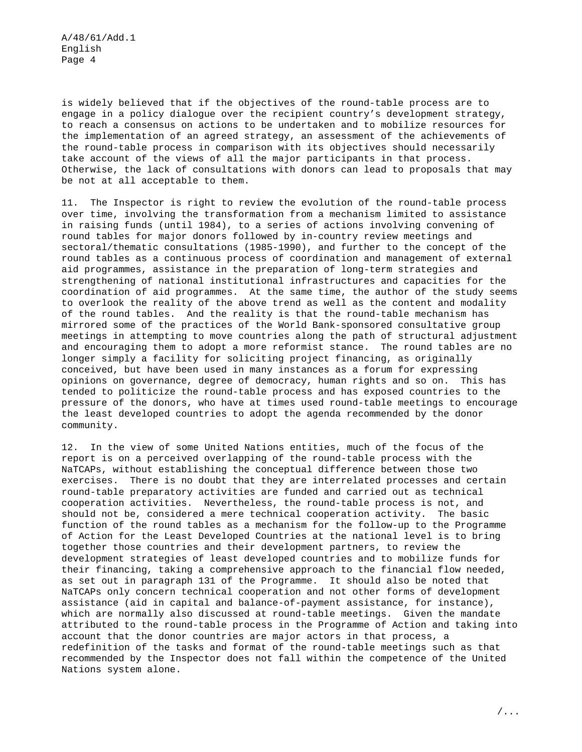A/48/61/Add.1 English Page 4

is widely believed that if the objectives of the round-table process are to engage in a policy dialogue over the recipient country's development strategy, to reach a consensus on actions to be undertaken and to mobilize resources for the implementation of an agreed strategy, an assessment of the achievements of the round-table process in comparison with its objectives should necessarily take account of the views of all the major participants in that process. Otherwise, the lack of consultations with donors can lead to proposals that may be not at all acceptable to them.

11. The Inspector is right to review the evolution of the round-table process over time, involving the transformation from a mechanism limited to assistance in raising funds (until 1984), to a series of actions involving convening of round tables for major donors followed by in-country review meetings and sectoral/thematic consultations (1985-1990), and further to the concept of the round tables as a continuous process of coordination and management of external aid programmes, assistance in the preparation of long-term strategies and strengthening of national institutional infrastructures and capacities for the coordination of aid programmes. At the same time, the author of the study seems to overlook the reality of the above trend as well as the content and modality of the round tables. And the reality is that the round-table mechanism has mirrored some of the practices of the World Bank-sponsored consultative group meetings in attempting to move countries along the path of structural adjustment and encouraging them to adopt a more reformist stance. The round tables are no longer simply a facility for soliciting project financing, as originally conceived, but have been used in many instances as a forum for expressing opinions on governance, degree of democracy, human rights and so on. This has tended to politicize the round-table process and has exposed countries to the pressure of the donors, who have at times used round-table meetings to encourage the least developed countries to adopt the agenda recommended by the donor community.

12. In the view of some United Nations entities, much of the focus of the report is on a perceived overlapping of the round-table process with the NaTCAPs, without establishing the conceptual difference between those two exercises. There is no doubt that they are interrelated processes and certain round-table preparatory activities are funded and carried out as technical cooperation activities. Nevertheless, the round-table process is not, and should not be, considered a mere technical cooperation activity. The basic function of the round tables as a mechanism for the follow-up to the Programme of Action for the Least Developed Countries at the national level is to bring together those countries and their development partners, to review the development strategies of least developed countries and to mobilize funds for their financing, taking a comprehensive approach to the financial flow needed, as set out in paragraph 131 of the Programme. It should also be noted that NaTCAPs only concern technical cooperation and not other forms of development assistance (aid in capital and balance-of-payment assistance, for instance), which are normally also discussed at round-table meetings. Given the mandate attributed to the round-table process in the Programme of Action and taking into account that the donor countries are major actors in that process, a redefinition of the tasks and format of the round-table meetings such as that recommended by the Inspector does not fall within the competence of the United Nations system alone.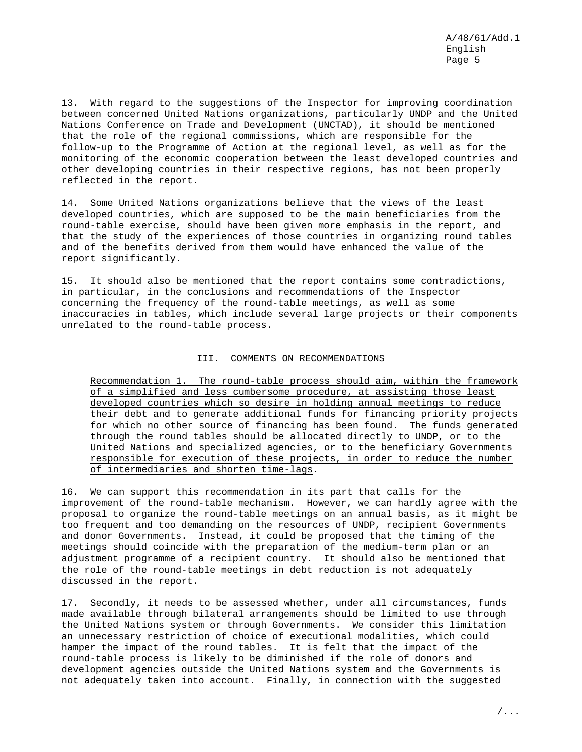A/48/61/Add.1 English Page 5

13. With regard to the suggestions of the Inspector for improving coordination between concerned United Nations organizations, particularly UNDP and the United Nations Conference on Trade and Development (UNCTAD), it should be mentioned that the role of the regional commissions, which are responsible for the follow-up to the Programme of Action at the regional level, as well as for the monitoring of the economic cooperation between the least developed countries and other developing countries in their respective regions, has not been properly reflected in the report.

14. Some United Nations organizations believe that the views of the least developed countries, which are supposed to be the main beneficiaries from the round-table exercise, should have been given more emphasis in the report, and that the study of the experiences of those countries in organizing round tables and of the benefits derived from them would have enhanced the value of the report significantly.

15. It should also be mentioned that the report contains some contradictions, in particular, in the conclusions and recommendations of the Inspector concerning the frequency of the round-table meetings, as well as some inaccuracies in tables, which include several large projects or their components unrelated to the round-table process.

## III. COMMENTS ON RECOMMENDATIONS

Recommendation 1. The round-table process should aim, within the framework of a simplified and less cumbersome procedure, at assisting those least developed countries which so desire in holding annual meetings to reduce their debt and to generate additional funds for financing priority projects for which no other source of financing has been found. The funds generated through the round tables should be allocated directly to UNDP, or to the United Nations and specialized agencies, or to the beneficiary Governments responsible for execution of these projects, in order to reduce the number of intermediaries and shorten time-lags.

16. We can support this recommendation in its part that calls for the improvement of the round-table mechanism. However, we can hardly agree with the proposal to organize the round-table meetings on an annual basis, as it might be too frequent and too demanding on the resources of UNDP, recipient Governments and donor Governments. Instead, it could be proposed that the timing of the meetings should coincide with the preparation of the medium-term plan or an adjustment programme of a recipient country. It should also be mentioned that the role of the round-table meetings in debt reduction is not adequately discussed in the report.

17. Secondly, it needs to be assessed whether, under all circumstances, funds made available through bilateral arrangements should be limited to use through the United Nations system or through Governments. We consider this limitation an unnecessary restriction of choice of executional modalities, which could hamper the impact of the round tables. It is felt that the impact of the round-table process is likely to be diminished if the role of donors and development agencies outside the United Nations system and the Governments is not adequately taken into account. Finally, in connection with the suggested